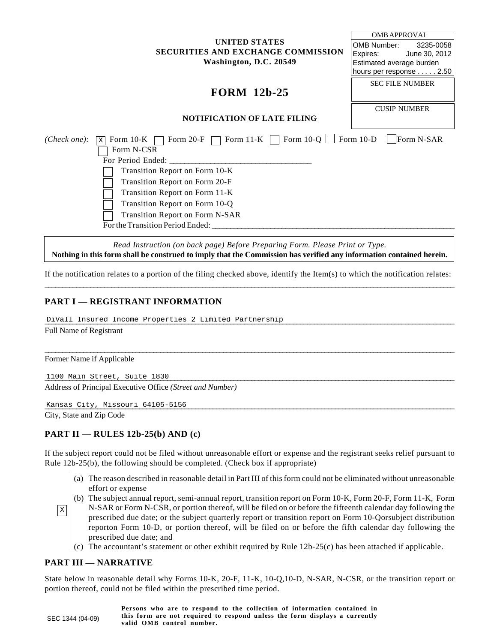#### **UNITED STATES SECURITIES AND EXCHANGE COMMISSION Washington, D.C. 20549**

# **FORM 12b-25**

| OMB APPROVAL             |                        |  |  |
|--------------------------|------------------------|--|--|
| OMB Number:              | 3235-0058              |  |  |
| Expires:                 | June 30, 2012          |  |  |
| Estimated average burden |                        |  |  |
| hours per response 2.50  |                        |  |  |
|                          | <b>SEC FILE NUMBER</b> |  |  |
|                          | <b>CUSIP NUMBER</b>    |  |  |

### **NOTIFICATION OF LATE FILING**

| Form 11-K $\Box$ Form 10-Q $\Box$ Form 10-D<br>Form 20-F<br>Form $10-K$<br>( <i>Check one</i> ):<br>$\mathbf{X}$ | Form N-SAR |
|------------------------------------------------------------------------------------------------------------------|------------|
| Form N-CSR                                                                                                       |            |
| For Period Ended:                                                                                                |            |
| Transition Report on Form 10-K                                                                                   |            |
| Transition Report on Form 20-F                                                                                   |            |
| Transition Report on Form 11-K                                                                                   |            |
| Transition Report on Form 10-Q                                                                                   |            |
| <b>Transition Report on Form N-SAR</b>                                                                           |            |
| For the Transition Period Ended:                                                                                 |            |

*Read Instruction (on back page) Before Preparing Form. Please Print or Type.*  **Nothing in this form shall be construed to imply that the Commission has verified any information contained herein.** 

\_\_\_\_\_\_\_\_\_\_\_\_\_\_\_\_\_\_\_\_\_\_\_\_\_\_\_\_\_\_\_\_\_\_\_\_\_\_\_\_\_\_\_\_\_\_\_\_\_\_\_\_\_\_\_\_\_\_\_\_\_\_\_\_\_\_\_\_\_\_\_\_\_\_\_\_\_\_\_\_\_\_\_\_\_\_\_\_\_\_\_\_\_\_\_\_\_\_\_\_\_\_\_\_\_\_\_\_\_\_\_\_\_\_\_\_\_ If the notification relates to a portion of the filing checked above, identify the Item(s) to which the notification relates:

\_\_\_\_\_\_\_\_\_\_\_\_\_\_\_\_\_\_\_\_\_\_\_\_\_\_\_\_\_\_\_\_\_\_\_\_\_\_\_\_\_\_\_\_\_\_\_\_\_\_\_\_\_\_\_\_\_\_\_\_\_\_\_\_\_\_\_\_\_\_\_\_\_\_\_\_\_\_\_\_\_\_\_\_\_\_\_\_\_\_\_\_\_\_\_\_\_\_\_\_\_\_\_\_\_\_\_\_\_\_\_\_\_\_\_\_\_

## **PART I — REGISTRANT INFORMATION**

DiVall Insured Income Properties 2 Limited Partnership

Full Name of Registrant

Former Name if Applicable

\_\_\_\_\_\_\_\_\_\_\_\_\_\_\_\_\_\_\_\_\_\_\_\_\_\_\_\_\_\_\_\_\_\_\_\_\_\_\_\_\_\_\_\_\_\_\_\_\_\_\_\_\_\_\_\_\_\_\_\_\_\_\_\_\_\_\_\_\_\_\_\_\_\_\_\_\_\_\_\_\_\_\_\_\_\_\_\_\_\_\_\_\_\_\_\_\_\_\_\_\_\_\_\_\_\_\_\_\_\_\_\_\_\_\_\_\_ 1100 Main Street, Suite 1830 Address of Principal Executive Office *(Street and Number)* 

\_\_\_\_\_\_\_\_\_\_\_\_\_\_\_\_\_\_\_\_\_\_\_\_\_\_\_\_\_\_\_\_\_\_\_\_\_\_\_\_\_\_\_\_\_\_\_\_\_\_\_\_\_\_\_\_\_\_\_\_\_\_\_\_\_\_\_\_\_\_\_\_\_\_\_\_\_\_\_\_\_\_\_\_\_\_\_\_\_\_\_\_\_\_\_\_\_\_\_\_\_\_\_\_\_\_\_\_\_\_\_\_\_\_\_\_\_ Kansas City, Missouri 64105-5156

City, State and Zip Code

#### **PART II — RULES 12b-25(b) AND (c)**

If the subject report could not be filed without unreasonable effort or expense and the registrant seeks relief pursuant to Rule 12b-25(b), the following should be completed. (Check box if appropriate)

- (a) The reason described in reasonable detail in Part III of this form could not be eliminated without unreasonable effort or expense
- (b) The subject annual report, semi-annual report, transition report on Form 10-K, Form 20-F, Form 11-K, Form N-SAR or Form N-CSR, or portion thereof, will be filed on or before the fifteenth calendar day following the prescribed due date; or the subject quarterly report or transition report on Form 10-Qorsubject distribution reporton Form 10-D, or portion thereof, will be filed on or before the fifth calendar day following the prescribed due date; and  $\vert x \vert$ 
	- (c) The accountant's statement or other exhibit required by Rule 12b-25(c) has been attached if applicable.

## **PART III — NARRATIVE**

State below in reasonable detail why Forms 10-K, 20-F, 11-K, 10-Q,10-D, N-SAR, N-CSR, or the transition report or portion thereof, could not be filed within the prescribed time period.

|                  | Persons who are to respond to the collection of information contained in   |
|------------------|----------------------------------------------------------------------------|
| SEC 1344 (04-09) | this form are not required to respond unless the form displays a currently |
|                  | valid OMB control number.                                                  |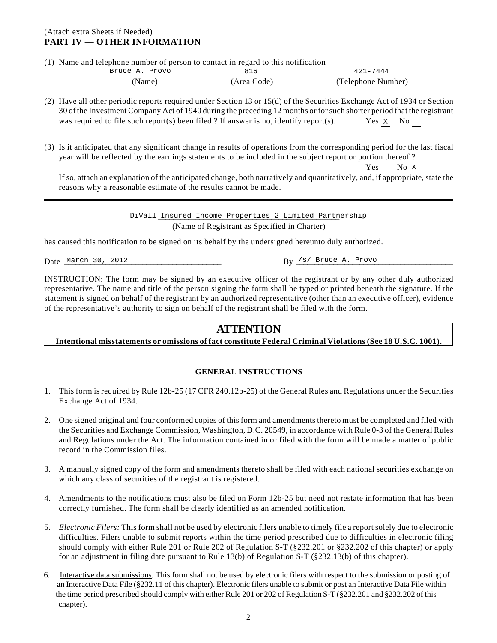#### (Attach extra Sheets if Needed) **PART IV — OTHER INFORMATION**

(1) Name and telephone number of person to contact in regard to this notification

| Bruce A.<br>Provo | -                     | -7444               |  |
|-------------------|-----------------------|---------------------|--|
| lame<br>          | Area $Code^{\dagger}$ | (Telenhone Number). |  |

- (2) Have all other periodic reports required under Section 13 or 15(d) of the Securities Exchange Act of 1934 or Section 30 of the Investment Company Act of 1940 during the preceding 12 months or for such shorter period that the registrant was required to file such report(s) been filed ? If answer is no, identify report(s). Yes  $\boxed{\mathbf{x}}$  No Bruce A. Provo  $\overline{AB16}$   $\overline{AB16}$   $\overline{AB16}$   $\overline{AB16}$   $\overline{AB16}$   $\overline{AB177444}$ <br>(Name)  $\overline{AB16}$   $\overline{AB16}$   $\overline{AB16}$   $\overline{AB16}$   $\overline{AB16}$   $\overline{AB16}$   $\overline{AB12}$  (Telephone Nun<br>periodic reports required under Secti
- (3) Is it anticipated that any significant change in results of operations from the corresponding period for the last fiscal year will be reflected by the earnings statements to be included in the subject report or portion thereof ?

 $Yes \nightharpoonup No \nightharpoonup X$ 

If so, attach an explanation of the anticipated change, both narratively and quantitatively, and, if appropriate, state the reasons why a reasonable estimate of the results cannot be made. No  $\Sigma$ <br>aable estimate of the results cannot be made.<br>Divall Insured Income Properties 2 Limited Partnership

\_\_\_\_\_\_\_\_\_\_\_\_\_\_\_\_\_\_\_\_\_\_\_\_\_\_\_\_\_\_\_\_\_\_\_\_\_\_\_\_\_\_\_\_\_\_\_\_\_\_\_\_\_\_\_\_\_\_\_\_\_\_\_\_\_\_\_\_\_\_\_\_\_\_\_\_\_\_\_\_\_\_\_\_\_\_\_\_\_\_\_\_\_\_\_\_\_\_\_\_\_\_\_\_\_\_\_\_\_

DiVall Insured Income Properties 2 Limited Partnership (Name of Registrant as Specified in Charter)

has caused this notification to be signed on its behalf by the undersigned hereunto duly authorized.

Date \_\_\_\_\_\_\_\_\_\_\_\_\_\_\_\_\_\_\_\_\_\_\_\_\_\_\_\_\_\_\_\_\_\_\_\_\_\_\_\_\_\_ By \_\_\_\_\_\_\_\_\_\_\_\_\_\_\_\_\_\_\_\_\_\_\_\_\_\_\_\_\_\_\_\_\_\_\_\_\_\_\_\_\_\_ March 30, 2012 /s/ Bruce A. Provo

INSTRUCTION: The form may be signed by an executive officer of the registrant or by any other duly authorized representative. The name and title of the person signing the form shall be typed or printed beneath the signature. If the statement is signed on behalf of the registrant by an authorized representative (other than an executive officer), evidence of the representative's authority to sign on behalf of the registrant shall be filed with the form.

## **ATTENTION**

#### **Intentional misstatements or omissions of fact constitute Federal Criminal Violations (See 18 U.S.C. 1001).**

#### **GENERAL INSTRUCTIONS**

- 1. This form is required by Rule 12b-25 (17 CFR 240.12b-25) of the General Rules and Regulations under the Securities Exchange Act of 1934.
- 2. One signed original and four conformed copies of this form and amendments thereto must be completed and filed with the Securities and Exchange Commission, Washington, D.C. 20549, in accordance with Rule 0-3 of the General Rules and Regulations under the Act. The information contained in or filed with the form will be made a matter of public record in the Commission files.
- 3. A manually signed copy of the form and amendments thereto shall be filed with each national securities exchange on which any class of securities of the registrant is registered.
- 4. Amendments to the notifications must also be filed on Form 12b-25 but need not restate information that has been correctly furnished. The form shall be clearly identified as an amended notification.
- 5. *Electronic Filers:* This form shall not be used by electronic filers unable to timely file a report solely due to electronic difficulties. Filers unable to submit reports within the time period prescribed due to difficulties in electronic filing should comply with either Rule 201 or Rule 202 of Regulation S-T (§232.201 or §232.202 of this chapter) or apply for an adjustment in filing date pursuant to Rule 13(b) of Regulation S-T (§232.13(b) of this chapter).
- 6. Interactive data submissions*.* This form shall not be used by electronic filers with respect to the submission or posting of an Interactive Data File (§232.11 of this chapter). Electronic filers unable to submit or post an Interactive Data File within the time period prescribed should comply with either Rule 201 or 202 of Regulation S-T (§232.201 and §232.202 of this chapter).